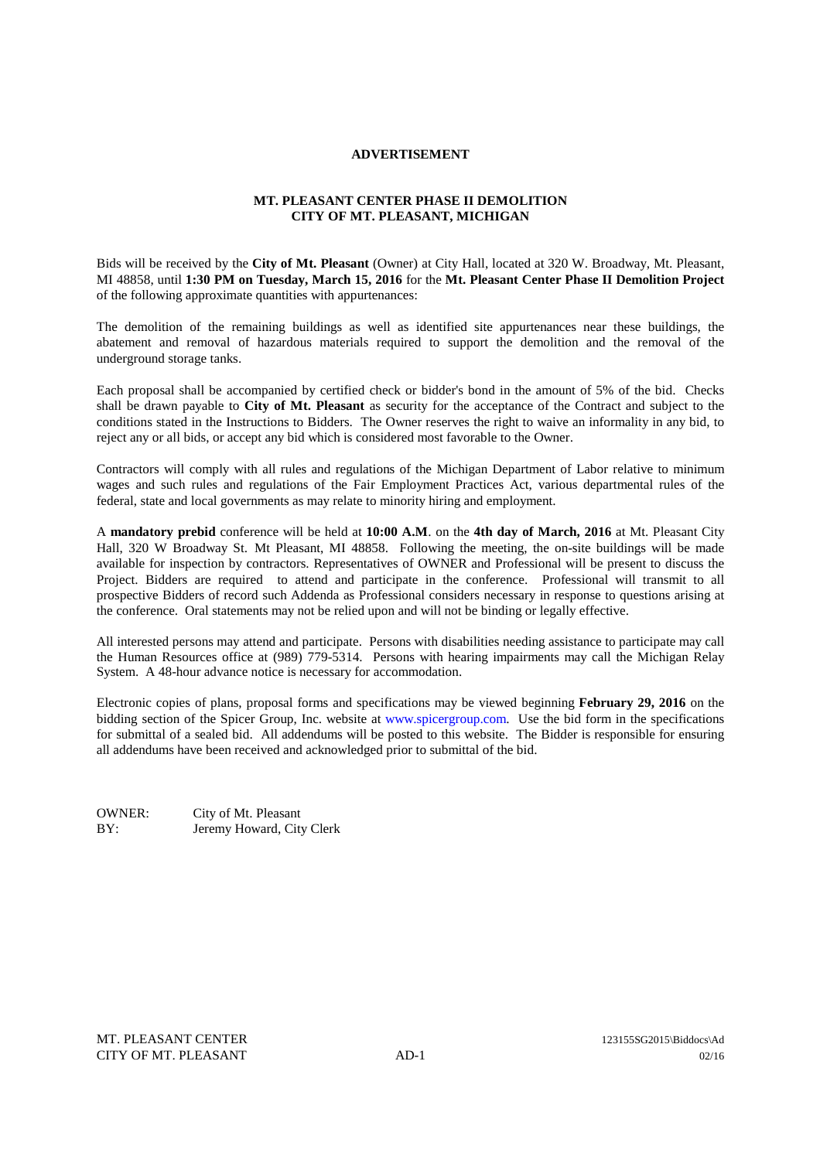## **ADVERTISEMENT**

## **MT. PLEASANT CENTER PHASE II DEMOLITION CITY OF MT. PLEASANT, MICHIGAN**

Bids will be received by the **City of Mt. Pleasant** (Owner) at City Hall, located at 320 W. Broadway, Mt. Pleasant, MI 48858, until **1:30 PM on Tuesday, March 15, 2016** for the **Mt. Pleasant Center Phase II Demolition Project** of the following approximate quantities with appurtenances:

The demolition of the remaining buildings as well as identified site appurtenances near these buildings, the abatement and removal of hazardous materials required to support the demolition and the removal of the underground storage tanks.

Each proposal shall be accompanied by certified check or bidder's bond in the amount of 5% of the bid. Checks shall be drawn payable to **City of Mt. Pleasant** as security for the acceptance of the Contract and subject to the conditions stated in the Instructions to Bidders. The Owner reserves the right to waive an informality in any bid, to reject any or all bids, or accept any bid which is considered most favorable to the Owner.

Contractors will comply with all rules and regulations of the Michigan Department of Labor relative to minimum wages and such rules and regulations of the Fair Employment Practices Act, various departmental rules of the federal, state and local governments as may relate to minority hiring and employment.

A **mandatory prebid** conference will be held at **10:00 A.M**. on the **4th day of March, 2016** at Mt. Pleasant City Hall, 320 W Broadway St. Mt Pleasant, MI 48858. Following the meeting, the on-site buildings will be made available for inspection by contractors. Representatives of OWNER and Professional will be present to discuss the Project. Bidders are required to attend and participate in the conference. Professional will transmit to all prospective Bidders of record such Addenda as Professional considers necessary in response to questions arising at the conference. Oral statements may not be relied upon and will not be binding or legally effective.

All interested persons may attend and participate. Persons with disabilities needing assistance to participate may call the Human Resources office at (989) 779-5314. Persons with hearing impairments may call the Michigan Relay System. A 48-hour advance notice is necessary for accommodation.

Electronic copies of plans, proposal forms and specifications may be viewed beginning **February 29, 2016** on the bidding section of the Spicer Group, Inc. website at www.spicergroup.com. Use the bid form in the specifications for submittal of a sealed bid. All addendums will be posted to this website. The Bidder is responsible for ensuring all addendums have been received and acknowledged prior to submittal of the bid.

OWNER: City of Mt. Pleasant BY: Jeremy Howard, City Clerk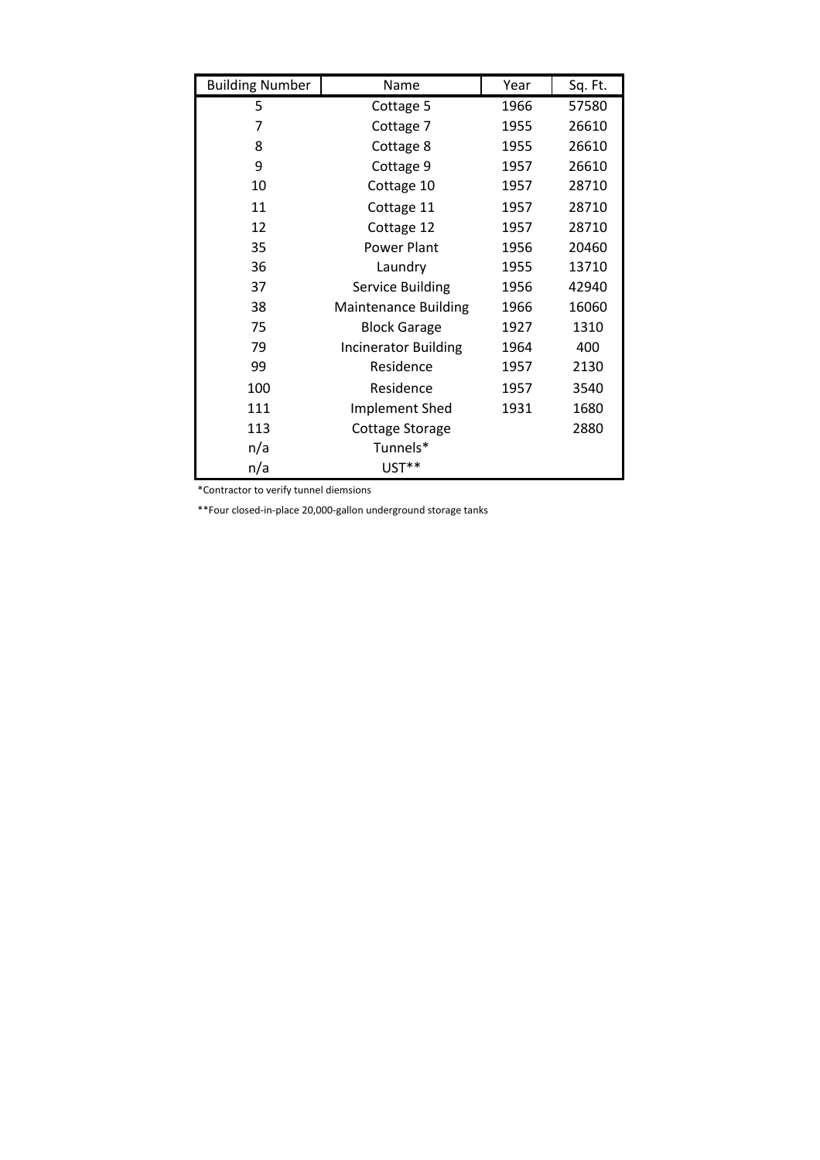| <b>Building Number</b> | Name                        | Year | Sq. Ft. |
|------------------------|-----------------------------|------|---------|
| 5                      | Cottage 5                   | 1966 | 57580   |
| 7                      | Cottage 7                   | 1955 | 26610   |
| 8                      | Cottage 8                   | 1955 | 26610   |
| 9                      | Cottage 9                   | 1957 | 26610   |
| 10                     | Cottage 10                  | 1957 | 28710   |
| 11                     | Cottage 11                  | 1957 | 28710   |
| 12                     | Cottage 12                  | 1957 | 28710   |
| 35                     | Power Plant                 | 1956 | 20460   |
| 36                     | Laundry                     | 1955 | 13710   |
| 37                     | <b>Service Building</b>     | 1956 | 42940   |
| 38                     | <b>Maintenance Building</b> | 1966 | 16060   |
| 75                     | <b>Block Garage</b>         | 1927 | 1310    |
| 79                     | <b>Incinerator Building</b> | 1964 | 400     |
| 99                     | Residence                   | 1957 | 2130    |
| 100                    | Residence                   | 1957 | 3540    |
| 111                    | <b>Implement Shed</b>       | 1931 | 1680    |
| 113                    | Cottage Storage             |      | 2880    |
| n/a                    | Tunnels*                    |      |         |
| n/a                    | UST**                       |      |         |

\*Contractor to verify tunnel diemsions

\*\*Four closed-in-place 20,000-gallon underground storage tanks